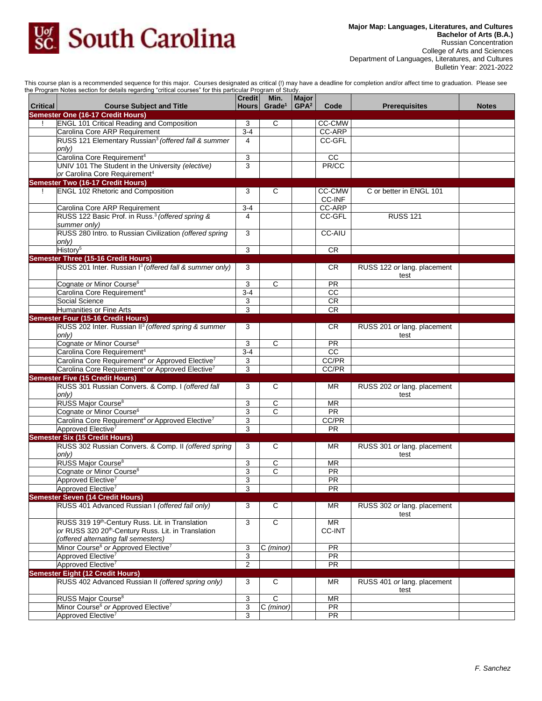

This course plan is a recommended sequence for this major. Courses designated as critical (!) may have a deadline for completion and/or affect time to graduation. Please see the Program Notes section for details regarding "critical courses" for this particular Program of Study.

|                 | ie Frogram Notes secuon for details regarding "chilcar courses" for this particular Frogram or Study. |                     |                          |                  |                 |                             |              |
|-----------------|-------------------------------------------------------------------------------------------------------|---------------------|--------------------------|------------------|-----------------|-----------------------------|--------------|
|                 |                                                                                                       | lCredit I           | Min.                     | Major            |                 |                             |              |
| <b>Critical</b> | <b>Course Subject and Title</b>                                                                       |                     | Hours Grade <sup>1</sup> | GPA <sup>2</sup> | Code            | <b>Prerequisites</b>        | <b>Notes</b> |
|                 | Semester One (16-17 Credit Hours)                                                                     |                     |                          |                  |                 |                             |              |
|                 | <b>ENGL 101 Critical Reading and Composition</b>                                                      | 3                   | C                        |                  | CC-CMW          |                             |              |
|                 | Carolina Core ARP Requirement                                                                         | $3-4$               |                          |                  | CC-ARP          |                             |              |
|                 | RUSS 121 Elementary Russian <sup>3</sup> (offered fall & summer                                       | $\overline{4}$      |                          |                  | CC-GFL          |                             |              |
|                 | only)                                                                                                 |                     |                          |                  |                 |                             |              |
|                 | Carolina Core Requirement <sup>4</sup>                                                                | 3                   |                          |                  | cc              |                             |              |
|                 | UNIV 101 The Student in the University (elective)                                                     | 3                   |                          |                  | PR/CC           |                             |              |
|                 | or Carolina Core Requirement <sup>4</sup>                                                             |                     |                          |                  |                 |                             |              |
|                 | <b>Semester Two (16-17 Credit Hours)</b>                                                              |                     |                          |                  |                 |                             |              |
| $\mathbf{I}$    | <b>ENGL 102 Rhetoric and Composition</b>                                                              | 3                   | C                        |                  | CC-CMW          | C or better in ENGL 101     |              |
|                 |                                                                                                       |                     |                          |                  | <b>CC-INF</b>   |                             |              |
|                 |                                                                                                       | $3-4$               |                          |                  | CC-ARP          |                             |              |
|                 | Carolina Core ARP Requirement                                                                         |                     |                          |                  |                 |                             |              |
|                 | RUSS 122 Basic Prof. in Russ. <sup>3</sup> (offered spring &                                          | 4                   |                          |                  | CC-GFL          | <b>RUSS 121</b>             |              |
|                 | summer only)                                                                                          |                     |                          |                  |                 |                             |              |
|                 | RUSS 280 Intro. to Russian Civilization (offered spring                                               | 3                   |                          |                  | <b>CC-AIU</b>   |                             |              |
|                 | only)                                                                                                 |                     |                          |                  |                 |                             |              |
|                 | History <sup>5</sup>                                                                                  | 3                   |                          |                  | <b>CR</b>       |                             |              |
|                 | Semester Three (15-16 Credit Hours)                                                                   |                     |                          |                  |                 |                             |              |
|                 | RUSS 201 Inter. Russian I <sup>3</sup> (offered fall & summer only)                                   | 3                   |                          |                  | CR.             | RUSS 122 or lang. placement |              |
|                 |                                                                                                       |                     |                          |                  |                 | test                        |              |
|                 | Cognate or Minor Course <sup>6</sup>                                                                  | 3                   | C                        |                  | <b>PR</b>       |                             |              |
|                 | Carolina Core Requirement <sup>4</sup>                                                                | $3 - 4$             |                          |                  | CC              |                             |              |
|                 | Social Science                                                                                        | 3                   |                          |                  | <b>CR</b>       |                             |              |
|                 | Humanities or Fine Arts                                                                               | 3                   |                          |                  | <b>CR</b>       |                             |              |
|                 | <b>Semester Four (15-16 Credit Hours)</b>                                                             |                     |                          |                  |                 |                             |              |
|                 |                                                                                                       |                     |                          |                  |                 |                             |              |
|                 | RUSS 202 Inter. Russian II <sup>3</sup> (offered spring & summer                                      | 3                   |                          |                  | CR              | RUSS 201 or lang. placement |              |
|                 | only)                                                                                                 |                     |                          |                  |                 | test                        |              |
|                 | Cognate or Minor Course <sup>6</sup>                                                                  | 3                   | $\mathsf{C}$             |                  | <b>PR</b>       |                             |              |
|                 | Carolina Core Requirement <sup>4</sup>                                                                | $3-4$               |                          |                  | cc              |                             |              |
|                 | Carolina Core Requirement <sup>4</sup> or Approved Elective <sup>7</sup>                              | 3                   |                          |                  | CC/PR           |                             |              |
|                 | Carolina Core Requirement <sup>4</sup> or Approved Elective <sup>7</sup>                              | 3                   |                          |                  | CC/PR           |                             |              |
|                 | <b>Semester Five (15 Credit Hours)</b>                                                                |                     |                          |                  |                 |                             |              |
|                 | RUSS 301 Russian Convers. & Comp. I (offered fall                                                     | 3                   | C                        |                  | <b>MR</b>       | RUSS 202 or lang. placement |              |
|                 | only)                                                                                                 |                     |                          |                  |                 | test                        |              |
|                 | RUSS Major Course <sup>8</sup>                                                                        | 3                   | C                        |                  | <b>MR</b>       |                             |              |
|                 | Cognate or Minor Course <sup>6</sup>                                                                  | 3                   | С                        |                  | PR              |                             |              |
|                 | Carolina Core Requirement <sup>4</sup> or Approved Elective <sup>7</sup>                              | 3                   |                          |                  | CC/PR           |                             |              |
|                 | Approved Elective <sup>7</sup>                                                                        | 3                   |                          |                  | $\overline{PR}$ |                             |              |
|                 |                                                                                                       |                     |                          |                  |                 |                             |              |
|                 | <b>Semester Six (15 Credit Hours)</b>                                                                 |                     |                          |                  |                 |                             |              |
|                 | RUSS 302 Russian Convers. & Comp. II (offered spring                                                  | 3                   | C                        |                  | <b>MR</b>       | RUSS 301 or lang. placement |              |
|                 | only)                                                                                                 |                     |                          |                  |                 | test                        |              |
|                 | RUSS Major Course <sup>8</sup>                                                                        | 3                   | C                        |                  | <b>MR</b>       |                             |              |
|                 | Cognate or Minor Course <sup>6</sup>                                                                  | 3                   | C                        |                  | PR              |                             |              |
|                 | Approved Elective <sup>7</sup>                                                                        | 3                   |                          |                  | PR              |                             |              |
|                 | Approved Elective <sup>7</sup>                                                                        | $\overline{\omega}$ |                          |                  | PR              |                             |              |
|                 | <b>Semester Seven (14 Credit Hours)</b>                                                               |                     |                          |                  |                 |                             |              |
|                 | RUSS 401 Advanced Russian I (offered fall only)                                                       | 3                   | C                        |                  | <b>MR</b>       | RUSS 302 or lang. placement |              |
|                 |                                                                                                       |                     |                          |                  |                 | test                        |              |
|                 | RUSS 319 19 <sup>th</sup> -Century Russ. Lit. in Translation                                          | 3                   | $\overline{C}$           |                  | <b>MR</b>       |                             |              |
|                 | or RUSS 320 20 <sup>th</sup> -Century Russ. Lit. in Translation                                       |                     |                          |                  | CC-INT          |                             |              |
|                 | (offered alternating fall semesters)                                                                  |                     |                          |                  |                 |                             |              |
|                 | Minor Course <sup>6</sup> or Approved Elective <sup>7</sup>                                           | 3                   | C (minor)                |                  | <b>PR</b>       |                             |              |
|                 |                                                                                                       |                     |                          |                  |                 |                             |              |
|                 | Approved Elective <sup>7</sup>                                                                        | $\overline{3}$      |                          |                  | PR              |                             |              |
|                 | Approved Elective <sup>7</sup>                                                                        | $\overline{2}$      |                          |                  | <b>PR</b>       |                             |              |
|                 | <b>Semester Eight (12 Credit Hours)</b>                                                               |                     |                          |                  |                 |                             |              |
|                 | RUSS 402 Advanced Russian II (offered spring only)                                                    | 3                   | С                        |                  | ΜR              | RUSS 401 or lang. placement |              |
|                 |                                                                                                       |                     |                          |                  |                 | test                        |              |
|                 | RUSS Major Course <sup>8</sup>                                                                        | 3                   | C                        |                  | <b>MR</b>       |                             |              |
|                 | Minor Course <sup>6</sup> or Approved Elective <sup>7</sup>                                           | 3                   | C (minor)                |                  | PR              |                             |              |
|                 | Approved Elective <sup>7</sup>                                                                        | 3                   |                          |                  | PR              |                             |              |